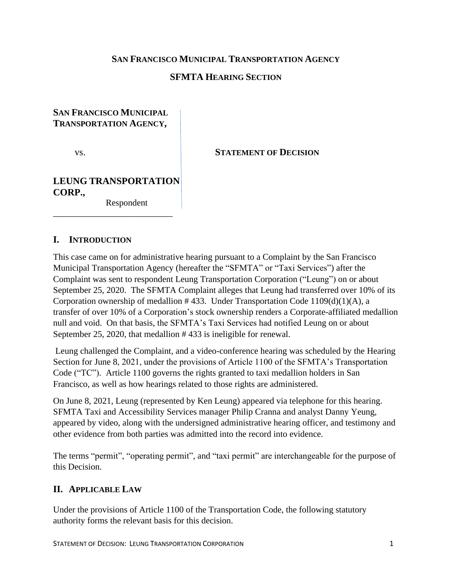### **SAN FRANCISCO MUNICIPAL TRANSPORTATION AGENCY**

### **SFMTA HEARING SECTION**

### **SAN FRANCISCO MUNICIPAL TRANSPORTATION AGENCY,**

vs. **STATEMENT OF DECISION** 

# **LEUNG TRANSPORTATION CORP.,**

\_\_\_\_\_\_\_\_\_\_\_\_\_\_\_\_\_\_\_\_\_\_\_\_\_\_\_

Respondent

### **I. INTRODUCTION**

This case came on for administrative hearing pursuant to a Complaint by the San Francisco Municipal Transportation Agency (hereafter the "SFMTA" or "Taxi Services") after the Complaint was sent to respondent Leung Transportation Corporation ("Leung") on or about September 25, 2020. The SFMTA Complaint alleges that Leung had transferred over 10% of its Corporation ownership of medallion  $\#$  433. Under Transportation Code 1109(d)(1)(A), a transfer of over 10% of a Corporation's stock ownership renders a Corporate-affiliated medallion null and void. On that basis, the SFMTA's Taxi Services had notified Leung on or about September 25, 2020, that medallion # 433 is ineligible for renewal.

Leung challenged the Complaint, and a video-conference hearing was scheduled by the Hearing Section for June 8, 2021, under the provisions of Article 1100 of the SFMTA's Transportation Code ("TC"). Article 1100 governs the rights granted to taxi medallion holders in San Francisco, as well as how hearings related to those rights are administered.

On June 8, 2021, Leung (represented by Ken Leung) appeared via telephone for this hearing. SFMTA Taxi and Accessibility Services manager Philip Cranna and analyst Danny Yeung, appeared by video, along with the undersigned administrative hearing officer, and testimony and other evidence from both parties was admitted into the record into evidence.

The terms "permit", "operating permit", and "taxi permit" are interchangeable for the purpose of this Decision.

## **II. APPLICABLE LAW**

Under the provisions of Article 1100 of the Transportation Code, the following statutory authority forms the relevant basis for this decision.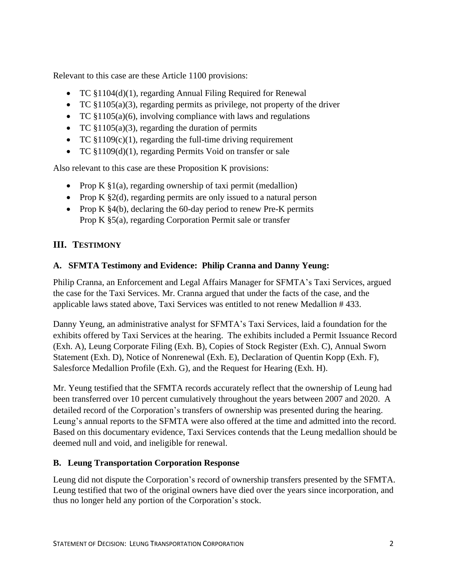Relevant to this case are these Article 1100 provisions:

- TC §1104(d)(1), regarding Annual Filing Required for Renewal
- TC  $$1105(a)(3)$ , regarding permits as privilege, not property of the driver
- TC  $$1105(a)(6)$ , involving compliance with laws and regulations
- TC  $$1105(a)(3)$ , regarding the duration of permits
- TC  $$1109(c)(1)$ , regarding the full-time driving requirement
- TC §1109(d)(1), regarding Permits Void on transfer or sale

Also relevant to this case are these Proposition K provisions:

- Prop K  $\S1(a)$ , regarding ownership of taxi permit (medallion)
- Prop K §2(d), regarding permits are only issued to a natural person
- Prop K  $\S4(b)$ , declaring the 60-day period to renew Pre-K permits Prop K §5(a), regarding Corporation Permit sale or transfer

## **III. TESTIMONY**

### **A. SFMTA Testimony and Evidence: Philip Cranna and Danny Yeung:**

Philip Cranna, an Enforcement and Legal Affairs Manager for SFMTA's Taxi Services, argued the case for the Taxi Services. Mr. Cranna argued that under the facts of the case, and the applicable laws stated above, Taxi Services was entitled to not renew Medallion # 433.

Danny Yeung, an administrative analyst for SFMTA's Taxi Services, laid a foundation for the exhibits offered by Taxi Services at the hearing. The exhibits included a Permit Issuance Record (Exh. A), Leung Corporate Filing (Exh. B), Copies of Stock Register (Exh. C), Annual Sworn Statement (Exh. D), Notice of Nonrenewal (Exh. E), Declaration of Quentin Kopp (Exh. F), Salesforce Medallion Profile (Exh. G), and the Request for Hearing (Exh. H).

Mr. Yeung testified that the SFMTA records accurately reflect that the ownership of Leung had been transferred over 10 percent cumulatively throughout the years between 2007 and 2020. A detailed record of the Corporation's transfers of ownership was presented during the hearing. Leung's annual reports to the SFMTA were also offered at the time and admitted into the record. Based on this documentary evidence, Taxi Services contends that the Leung medallion should be deemed null and void, and ineligible for renewal.

## **B. Leung Transportation Corporation Response**

Leung did not dispute the Corporation's record of ownership transfers presented by the SFMTA. Leung testified that two of the original owners have died over the years since incorporation, and thus no longer held any portion of the Corporation's stock.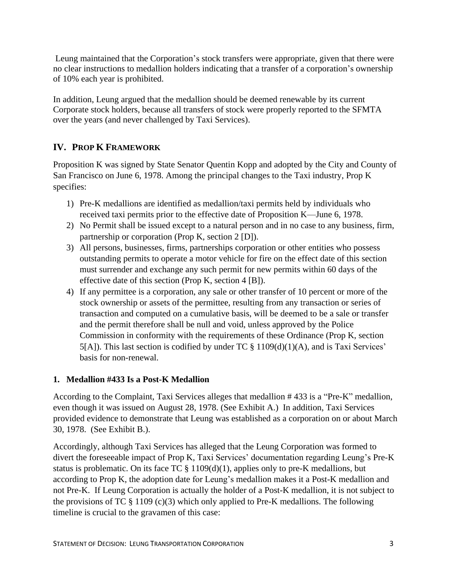Leung maintained that the Corporation's stock transfers were appropriate, given that there were no clear instructions to medallion holders indicating that a transfer of a corporation's ownership of 10% each year is prohibited.

In addition, Leung argued that the medallion should be deemed renewable by its current Corporate stock holders, because all transfers of stock were properly reported to the SFMTA over the years (and never challenged by Taxi Services).

## **IV. PROP K FRAMEWORK**

Proposition K was signed by State Senator Quentin Kopp and adopted by the City and County of San Francisco on June 6, 1978. Among the principal changes to the Taxi industry, Prop K specifies:

- 1) Pre-K medallions are identified as medallion/taxi permits held by individuals who received taxi permits prior to the effective date of Proposition K—June 6, 1978.
- 2) No Permit shall be issued except to a natural person and in no case to any business, firm, partnership or corporation (Prop K, section 2 [D]).
- 3) All persons, businesses, firms, partnerships corporation or other entities who possess outstanding permits to operate a motor vehicle for fire on the effect date of this section must surrender and exchange any such permit for new permits within 60 days of the effective date of this section (Prop K, section 4 [B]).
- 4) If any permittee is a corporation, any sale or other transfer of 10 percent or more of the stock ownership or assets of the permittee, resulting from any transaction or series of transaction and computed on a cumulative basis, will be deemed to be a sale or transfer and the permit therefore shall be null and void, unless approved by the Police Commission in conformity with the requirements of these Ordinance (Prop K, section  $5[A]$ ). This last section is codified by under TC § 1109(d)(1)(A), and is Taxi Services' basis for non-renewal.

## **1. Medallion #433 Is a Post-K Medallion**

According to the Complaint, Taxi Services alleges that medallion # 433 is a "Pre-K" medallion, even though it was issued on August 28, 1978. (See Exhibit A.) In addition, Taxi Services provided evidence to demonstrate that Leung was established as a corporation on or about March 30, 1978. (See Exhibit B.).

Accordingly, although Taxi Services has alleged that the Leung Corporation was formed to divert the foreseeable impact of Prop K, Taxi Services' documentation regarding Leung's Pre-K status is problematic. On its face  $TC \$  1109(d)(1), applies only to pre-K medallions, but according to Prop K, the adoption date for Leung's medallion makes it a Post-K medallion and not Pre-K. If Leung Corporation is actually the holder of a Post-K medallion, it is not subject to the provisions of TC  $\S$  1109 (c)(3) which only applied to Pre-K medallions. The following timeline is crucial to the gravamen of this case: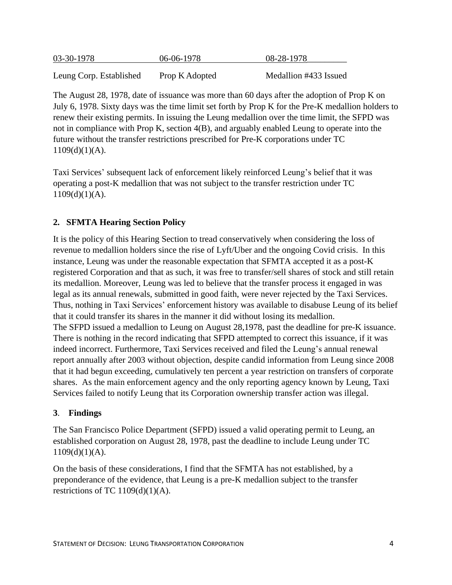| 03-30-1978              | 06-06-1978     | 08-28-1978            |
|-------------------------|----------------|-----------------------|
| Leung Corp. Established | Prop K Adopted | Medallion #433 Issued |

The August 28, 1978, date of issuance was more than 60 days after the adoption of Prop K on July 6, 1978. Sixty days was the time limit set forth by Prop K for the Pre-K medallion holders to renew their existing permits. In issuing the Leung medallion over the time limit, the SFPD was not in compliance with Prop K, section 4(B), and arguably enabled Leung to operate into the future without the transfer restrictions prescribed for Pre-K corporations under TC  $1109(d)(1)(A)$ .

Taxi Services' subsequent lack of enforcement likely reinforced Leung's belief that it was operating a post-K medallion that was not subject to the transfer restriction under TC  $1109(d)(1)(A)$ .

## **2. SFMTA Hearing Section Policy**

It is the policy of this Hearing Section to tread conservatively when considering the loss of revenue to medallion holders since the rise of Lyft/Uber and the ongoing Covid crisis. In this instance, Leung was under the reasonable expectation that SFMTA accepted it as a post-K registered Corporation and that as such, it was free to transfer/sell shares of stock and still retain its medallion. Moreover, Leung was led to believe that the transfer process it engaged in was legal as its annual renewals, submitted in good faith, were never rejected by the Taxi Services. Thus, nothing in Taxi Services' enforcement history was available to disabuse Leung of its belief that it could transfer its shares in the manner it did without losing its medallion. The SFPD issued a medallion to Leung on August 28,1978, past the deadline for pre-K issuance. There is nothing in the record indicating that SFPD attempted to correct this issuance, if it was indeed incorrect. Furthermore, Taxi Services received and filed the Leung's annual renewal report annually after 2003 without objection, despite candid information from Leung since 2008 that it had begun exceeding, cumulatively ten percent a year restriction on transfers of corporate shares. As the main enforcement agency and the only reporting agency known by Leung, Taxi Services failed to notify Leung that its Corporation ownership transfer action was illegal.

### **3**. **Findings**

The San Francisco Police Department (SFPD) issued a valid operating permit to Leung, an established corporation on August 28, 1978, past the deadline to include Leung under TC  $1109(d)(1)(A)$ .

On the basis of these considerations, I find that the SFMTA has not established, by a preponderance of the evidence, that Leung is a pre-K medallion subject to the transfer restrictions of TC  $1109(d)(1)(A)$ .